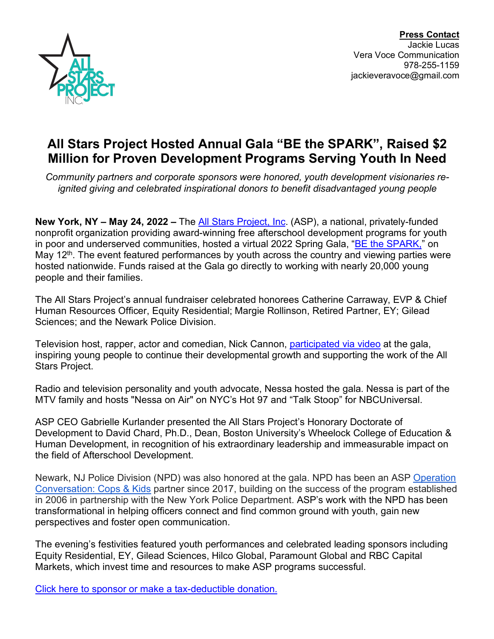

**Press Contact** Jackie Lucas Vera Voce Communication 978-255-1159 jackieveravoce@gmail.com

## **All Stars Project Hosted Annual Gala "BE the SPARK", Raised \$2 Million for Proven Development Programs Serving Youth In Need**

*Community partners and corporate sponsors were honored, youth development visionaries reignited giving and celebrated inspirational donors to benefit disadvantaged young people*

**New York, NY – May 24, 2022 –** The All Stars Project, Inc. (ASP), a national, privately-funded nonprofit organization providing award-winning free afterschool development programs for youth in poor and underserved communities, hosted a virtual 2022 Spring Gala, "BE the SPARK," on May 12<sup>th</sup>. The event featured performances by youth across the country and viewing parties were hosted nationwide. Funds raised at the Gala go directly to working with nearly 20,000 young people and their families.

The All Stars Project's annual fundraiser celebrated honorees Catherine Carraway, EVP & Chief Human Resources Officer, Equity Residential; Margie Rollinson, Retired Partner, EY; Gilead Sciences; and the Newark Police Division.

Television host, rapper, actor and comedian, Nick Cannon, participated via video at the gala, inspiring young people to continue their developmental growth and supporting the work of the All Stars Project.

Radio and television personality and youth advocate, Nessa hosted the gala. Nessa is part of the MTV family and hosts "Nessa on Air" on NYC's Hot 97 and "Talk Stoop" for NBCUniversal.

ASP CEO Gabrielle Kurlander presented the All Stars Project's Honorary Doctorate of Development to David Chard, Ph.D., Dean, Boston University's Wheelock College of Education & Human Development, in recognition of his extraordinary leadership and immeasurable impact on the field of Afterschool Development.

Newark, NJ Police Division (NPD) was also honored at the gala. NPD has been an ASP Operation Conversation: Cops & Kids partner since 2017, building on the success of the program established in 2006 in partnership with the New York Police Department. ASP's work with the NPD has been transformational in helping officers connect and find common ground with youth, gain new perspectives and foster open communication.

The evening's festivities featured youth performances and celebrated leading sponsors including Equity Residential, EY, Gilead Sciences, Hilco Global, Paramount Global and RBC Capital Markets, which invest time and resources to make ASP programs successful.

Click here to sponsor or make a tax-deductible donation.